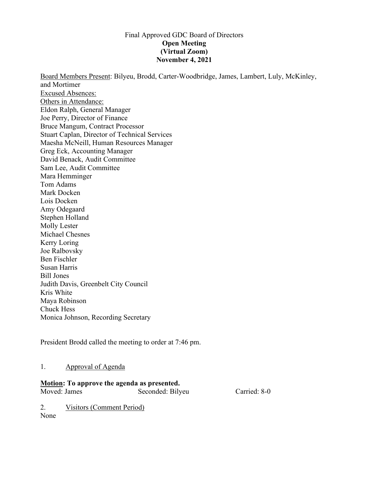# Final Approved GDC Board of Directors **Open Meeting (Virtual Zoom) November 4, 2021**

Board Members Present: Bilyeu, Brodd, Carter-Woodbridge, James, Lambert, Luly, McKinley, and Mortimer Excused Absences: Others in Attendance: Eldon Ralph, General Manager Joe Perry, Director of Finance Bruce Mangum, Contract Processor Stuart Caplan, Director of Technical Services Maesha McNeill, Human Resources Manager Greg Eck, Accounting Manager David Benack, Audit Committee Sam Lee, Audit Committee Mara Hemminger Tom Adams Mark Docken Lois Docken Amy Odegaard Stephen Holland Molly Lester Michael Chesnes Kerry Loring Joe Ralbovsky Ben Fischler Susan Harris Bill Jones Judith Davis, Greenbelt City Council Kris White Maya Robinson Chuck Hess Monica Johnson, Recording Secretary

President Brodd called the meeting to order at 7:46 pm.

# 1. Approval of Agenda

## **Motion: To approve the agenda as presented.**

Moved: James Seconded: Bilyeu Carried: 8-0

2. Visitors (Comment Period) None